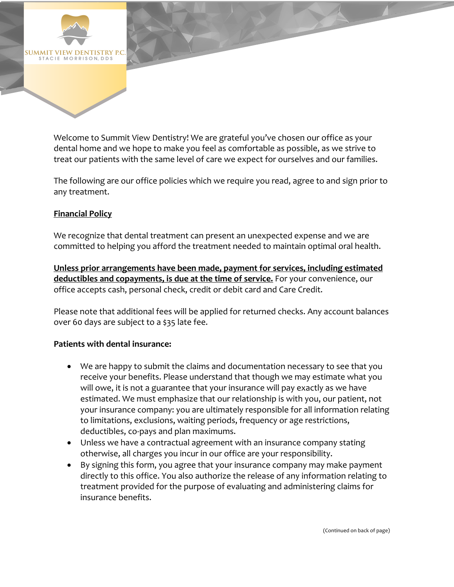

Welcome to Summit View Dentistry! We are grateful you've chosen our office as your dental home and we hope to make you feel as comfortable as possible, as we strive to treat our patients with the same level of care we expect for ourselves and our families.

The following are our office policies which we require you read, agree to and sign prior to any treatment.

## **Financial Policy**

We recognize that dental treatment can present an unexpected expense and we are committed to helping you afford the treatment needed to maintain optimal oral health.

**Unless prior arrangements have been made, payment for services, including estimated deductibles and copayments, is due at the time of service.** For your convenience, our office accepts cash, personal check, credit or debit card and Care Credit.

Please note that additional fees will be applied for returned checks. Any account balances over 60 days are subject to a \$35 late fee.

## **Patients with dental insurance:**

- We are happy to submit the claims and documentation necessary to see that you receive your benefits. Please understand that though we may estimate what you will owe, it is not a guarantee that your insurance will pay exactly as we have estimated. We must emphasize that our relationship is with you, our patient, not your insurance company: you are ultimately responsible for all information relating to limitations, exclusions, waiting periods, frequency or age restrictions, deductibles, co-pays and plan maximums.
- Unless we have a contractual agreement with an insurance company stating otherwise, all charges you incur in our office are your responsibility.
- By signing this form, you agree that your insurance company may make payment directly to this office. You also authorize the release of any information relating to treatment provided for the purpose of evaluating and administering claims for insurance benefits.